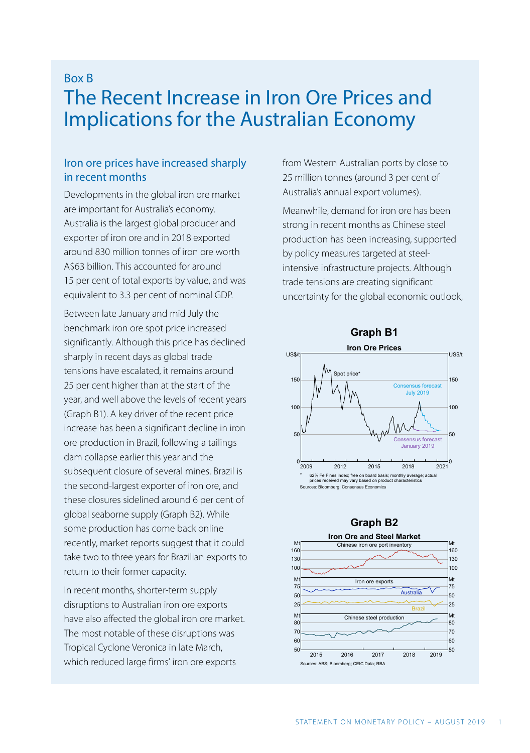# Box B The Recent Increase in Iron Ore Prices and Implications for the Australian Economy

# Iron ore prices have increased sharply in recent months

Developments in the global iron ore market are important for Australia's economy. Australia is the largest global producer and exporter of iron ore and in 2018 exported around 830 million tonnes of iron ore worth A\$63 billion. This accounted for around 15 per cent of total exports by value, and was equivalent to 3.3 per cent of nominal GDP.

Between late January and mid July the benchmark iron ore spot price increased significantly. Although this price has declined sharply in recent days as global trade tensions have escalated, it remains around 25 per cent higher than at the start of the year, and well above the levels of recent years (Graph B1). A key driver of the recent price increase has been a significant decline in iron ore production in Brazil, following a tailings dam collapse earlier this year and the subsequent closure of several mines. Brazil is the second-largest exporter of iron ore, and these closures sidelined around 6 per cent of global seaborne supply (Graph B2). While some production has come back online recently, market reports suggest that it could take two to three years for Brazilian exports to return to their former capacity.

In recent months, shorter-term supply disruptions to Australian iron ore exports have also affected the global iron ore market. The most notable of these disruptions was Tropical Cyclone Veronica in late March, which reduced large firms' iron ore exports

from Western Australian ports by close to 25 million tonnes (around 3 per cent of Australia's annual export volumes).

Meanwhile, demand for iron ore has been strong in recent months as Chinese steel production has been increasing, supported by policy measures targeted at steelintensive infrastructure projects. Although trade tensions are creating significant uncertainty for the global economic outlook,





#### **Graph B2**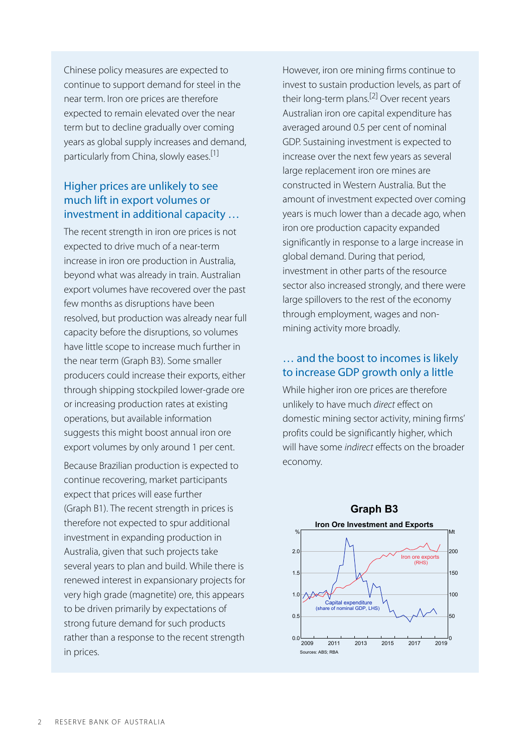Chinese policy measures are expected to continue to support demand for steel in the near term. Iron ore prices are therefore expected to remain elevated over the near term but to decline gradually over coming years as global supply increases and demand, particularly from China, slowly eases.<sup>[1]</sup>

# Higher prices are unlikely to see much lift in export volumes or investment in additional capacity …

The recent strength in iron ore prices is not expected to drive much of a near-term increase in iron ore production in Australia, beyond what was already in train. Australian export volumes have recovered over the past few months as disruptions have been resolved, but production was already near full capacity before the disruptions, so volumes have little scope to increase much further in the near term (Graph B3). Some smaller producers could increase their exports, either through shipping stockpiled lower-grade ore or increasing production rates at existing operations, but available information suggests this might boost annual iron ore export volumes by only around 1 per cent.

Because Brazilian production is expected to continue recovering, market participants expect that prices will ease further (Graph B1). The recent strength in prices is therefore not expected to spur additional investment in expanding production in Australia, given that such projects take several years to plan and build. While there is renewed interest in expansionary projects for very high grade (magnetite) ore, this appears to be driven primarily by expectations of strong future demand for such products rather than a response to the recent strength in prices.

However, iron ore mining firms continue to invest to sustain production levels, as part of their long-term plans.<sup>[2]</sup> Over recent years Australian iron ore capital expenditure has averaged around 0.5 per cent of nominal GDP. Sustaining investment is expected to increase over the next few years as several large replacement iron ore mines are constructed in Western Australia. But the amount of investment expected over coming years is much lower than a decade ago, when iron ore production capacity expanded significantly in response to a large increase in global demand. During that period, investment in other parts of the resource sector also increased strongly, and there were large spillovers to the rest of the economy through employment, wages and nonmining activity more broadly.

### … and the boost to incomes is likely to increase GDP growth only a little

While higher iron ore prices are therefore unlikely to have much *direct* effect on domestic mining sector activity, mining firms' profits could be significantly higher, which will have some *indirect* effects on the broader economy.

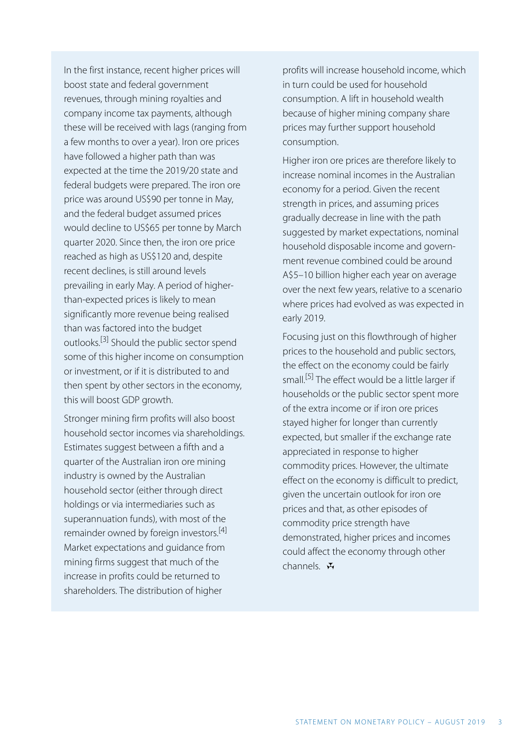In the first instance, recent higher prices will boost state and federal government revenues, through mining royalties and company income tax payments, although these will be received with lags (ranging from a few months to over a year). Iron ore prices have followed a higher path than was expected at the time the 2019/20 state and federal budgets were prepared. The iron ore price was around US\$90 per tonne in May, and the federal budget assumed prices would decline to US\$65 per tonne by March quarter 2020. Since then, the iron ore price reached as high as US\$120 and, despite recent declines, is still around levels prevailing in early May. A period of higherthan-expected prices is likely to mean significantly more revenue being realised than was factored into the budget outlooks.<sup>[3]</sup> Should the public sector spend some of this higher income on consumption or investment, or if it is distributed to and then spent by other sectors in the economy, this will boost GDP growth.

Stronger mining firm profits will also boost household sector incomes via shareholdings. Estimates suggest between a fifth and a quarter of the Australian iron ore mining industry is owned by the Australian household sector (either through direct holdings or via intermediaries such as superannuation funds), with most of the remainder owned by foreign investors.<sup>[4]</sup> Market expectations and guidance from mining firms suggest that much of the increase in profits could be returned to shareholders. The distribution of higher

profits will increase household income, which in turn could be used for household consumption. A lift in household wealth because of higher mining company share prices may further support household consumption.

Higher iron ore prices are therefore likely to increase nominal incomes in the Australian economy for a period. Given the recent strength in prices, and assuming prices gradually decrease in line with the path suggested by market expectations, nominal household disposable income and government revenue combined could be around A\$5–10 billion higher each year on average over the next few years, relative to a scenario where prices had evolved as was expected in early 2019.

Focusing just on this flowthrough of higher prices to the household and public sectors, the effect on the economy could be fairly small.<sup>[5]</sup> The effect would be a little larger if households or the public sector spent more of the extra income or if iron ore prices stayed higher for longer than currently expected, but smaller if the exchange rate appreciated in response to higher commodity prices. However, the ultimate effect on the economy is difficult to predict, given the uncertain outlook for iron ore prices and that, as other episodes of commodity price strength have demonstrated, higher prices and incomes could affect the economy through other channels.  $\mathbf{\ddot{H}}$